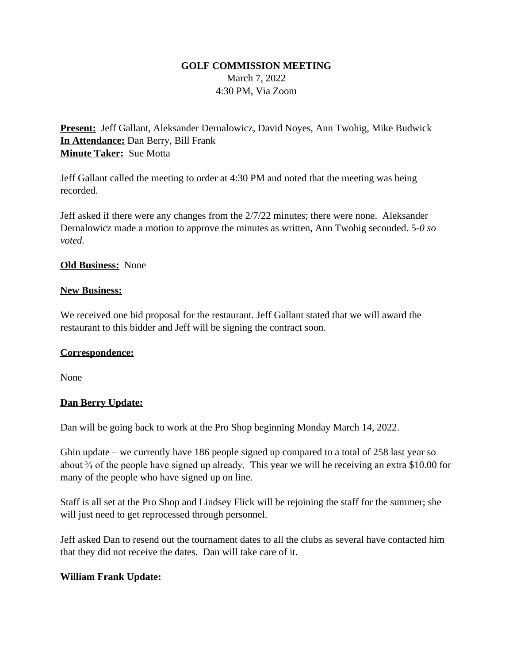### **GOLF COMMISSION MEETING**

March 7, 2022 4:30 PM, Via Zoom

**Present:** Jeff Gallant, Aleksander Dernalowicz, David Noyes, Ann Twohig, Mike Budwick **In Attendance:** Dan Berry, Bill Frank **Minute Taker:** Sue Motta

Jeff Gallant called the meeting to order at 4:30 PM and noted that the meeting was being recorded.

Jeff asked if there were any changes from the 2/7/22 minutes; there were none. Aleksander Dernalowicz made a motion to approve the minutes as written, Ann Twohig seconded. 5*-0 so voted.*

### **Old Business:** None

#### **New Business:**

We received one bid proposal for the restaurant. Jeff Gallant stated that we will award the restaurant to this bidder and Jeff will be signing the contract soon.

#### **Correspondence:**

None

#### **Dan Berry Update:**

Dan will be going back to work at the Pro Shop beginning Monday March 14, 2022.

Ghin update – we currently have 186 people signed up compared to a total of 258 last year so about ¾ of the people have signed up already. This year we will be receiving an extra \$10.00 for many of the people who have signed up on line.

Staff is all set at the Pro Shop and Lindsey Flick will be rejoining the staff for the summer; she will just need to get reprocessed through personnel.

Jeff asked Dan to resend out the tournament dates to all the clubs as several have contacted him that they did not receive the dates. Dan will take care of it.

## **William Frank Update:**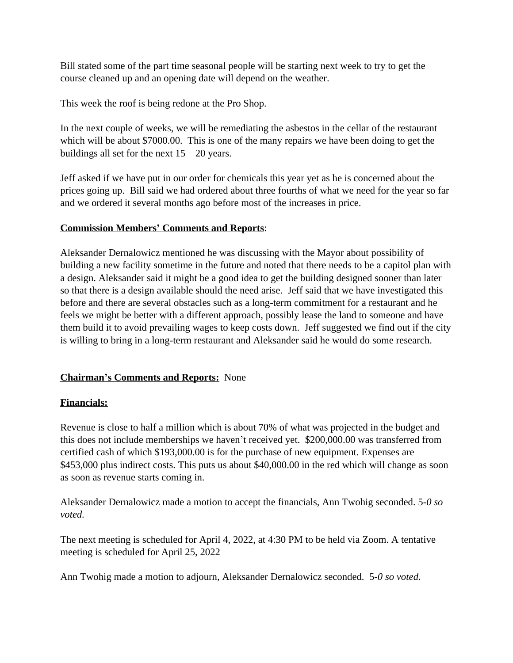Bill stated some of the part time seasonal people will be starting next week to try to get the course cleaned up and an opening date will depend on the weather.

This week the roof is being redone at the Pro Shop.

In the next couple of weeks, we will be remediating the asbestos in the cellar of the restaurant which will be about \$7000.00. This is one of the many repairs we have been doing to get the buildings all set for the next  $15 - 20$  years.

Jeff asked if we have put in our order for chemicals this year yet as he is concerned about the prices going up. Bill said we had ordered about three fourths of what we need for the year so far and we ordered it several months ago before most of the increases in price.

# **Commission Members' Comments and Reports**:

Aleksander Dernalowicz mentioned he was discussing with the Mayor about possibility of building a new facility sometime in the future and noted that there needs to be a capitol plan with a design. Aleksander said it might be a good idea to get the building designed sooner than later so that there is a design available should the need arise. Jeff said that we have investigated this before and there are several obstacles such as a long-term commitment for a restaurant and he feels we might be better with a different approach, possibly lease the land to someone and have them build it to avoid prevailing wages to keep costs down. Jeff suggested we find out if the city is willing to bring in a long-term restaurant and Aleksander said he would do some research.

## **Chairman's Comments and Reports:** None

## **Financials:**

Revenue is close to half a million which is about 70% of what was projected in the budget and this does not include memberships we haven't received yet. \$200,000.00 was transferred from certified cash of which \$193,000.00 is for the purchase of new equipment. Expenses are \$453,000 plus indirect costs. This puts us about \$40,000.00 in the red which will change as soon as soon as revenue starts coming in.

Aleksander Dernalowicz made a motion to accept the financials, Ann Twohig seconded. 5*-0 so voted.*

The next meeting is scheduled for April 4, 2022, at 4:30 PM to be held via Zoom. A tentative meeting is scheduled for April 25, 2022

Ann Twohig made a motion to adjourn, Aleksander Dernalowicz seconded. 5*-0 so voted.*